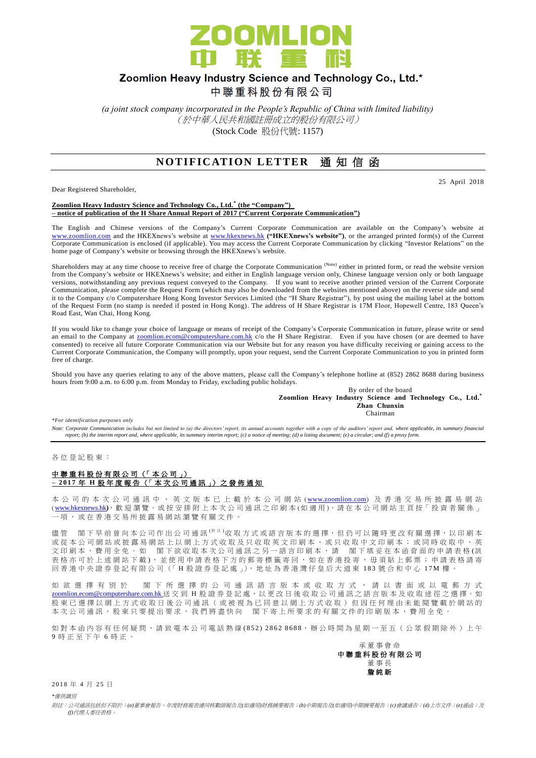

# Zoomlion Heavy Industry Science and Technology Co., Ltd.\*

中聯重科股份有限公司

*(a joint stock company incorporated in the People's Republic of China with limited liability)* (於中華人民共和國註冊成立的股份有限公司) (Stock Code 股份代號: 1157)

## **NOTIFICATION LETTER** 通知信函

Dear Registered Shareholder,

25 April 2018

**Zoomlion Heavy Industry Science and Technology Co., Ltd. \* (the "Company") – notice of publication of the H Share Annual Report of 2017 ("Current Corporate Communication")**

The English and Chinese versions of the Company's Current Corporate Communication are available on the Company's website at [www.zoomlion.com](http://www.zoomlion.com/) and the HKEXnews's website at [www.hkexnews.hk](http://www.hkexnews.hk/) **("HKEXnews's website")**, or the arranged printed form(s) of the Current Corporate Communication is enclosed (if applicable). You may access the Current Corporate Communication by clicking "Investor Relations" on the home page of Company's website or browsing through the HKEXnews's website.

Shareholders may at any time choose to receive free of charge the Corporate Communication<sup>(Note)</sup> either in printed form, or read the website version from the Company's website or HKEXnews's website; and either in English language version only, Chinese language version only or both language versions, notwithstanding any previous request conveyed to the Company. If you want to receive another printed version of the Current Corporate Communication, please complete the Request Form (which may also be downloaded from the websites mentioned above) on the reverse side and send it to the Company c/o Computershare Hong Kong Investor Services Limited (the "H Share Registrar"), by post using the mailing label at the bottom of the Request Form (no stamp is needed if posted in Hong Kong). The address of H Share Registrar is 17M Floor, Hopewell Centre, 183 Queen's Road East, Wan Chai, Hong Kong.

If you would like to change your choice of language or means of receipt of the Company's Corporate Communication in future, please write or send an email to the Company at [zoomlion.ecom@computershare.com.hk](file://oceania/hongkong/Data/G13GROUP/Project/Zoomlion/eComm/eComm%202013%20Annual/zoomlion.ecom@computershare.com.hk) c/o the H Share Registrar. Even if you have chosen (or are deemed to have consented) to receive all future Corporate Communication via our Website but for any reason you have difficulty receiving or gaining access to the Current Corporate Communication, the Company will promptly, upon your request, send the Current Corporate Communication to you in printed form free of charge.

Should you have any queries relating to any of the above matters, please call the Company's telephone hotline at (852) 2862 8688 during business hours from 9:00 a.m. to 6:00 p.m. from Monday to Friday, excluding public holidays.

> By order of the board **Zoomlion Heavy Industry Science and Technology Co., Ltd.\* Zhan Chunxin** Chairman

*\*For identification purposes only* 

Note: Corporate Communication includes but not limited to (a) the directors' report, its annual accounts together with a copy of the auditors' report and, where applicable, its summary financial<br>report; (b) the interim rep

各 位 登 記 股 東 :

### 中聯重科股份有限公司 (「本公司」) **– 201 7** 年 **H** 股 年 度 報 告 (「 本 次 公司通訊 」) 之 發 佈 通 知

本 公 司 的 本 次 公 司 通 訊 中 、 英 文 版 本 已 上 載 於 本 公 司 網 站 ([www.zoomlion.com](http://www.zoomlion.com/)) 及 香 港 交 易 所 披 露 易 網 站 ( [www.hkexnews.hk](http://www.hkexnews.hk/)**)**, 歡 迎 瀏 覽 。或 按 安 排 附 上 本 次 公 司 通 訊 之印刷本 (如適用 )。 請 在 本 公 司 網 站 主 頁 按「 投 資 者 關 係 」 一項, 或 在 香 港 交 易 所 披 露 易 網 站 瀏 覽 有 關 文 件 。

儘管 閣下早前曾向本公司作出公司通訊<sup>( 附註 )</sup>收取方式或語言版本的選擇,但仍可以隨時更改有關選擇,以印刷本 或 從 本 公 司 網 站 或 披 露 易 網 站 上 以 網 上 方 式 收 取 及 只 收 取 英 文 印 刷 本 、 或 只 收 取 中 文 印 刷 本 ; 或 同 時 收 取 中 、 英 文印刷本,費用全免。如 閣下欲收取本次公司通訊之另一語言印刷本,請 閣下填妥在本函背面的申請表格(該 表格亦可於上述網站下載), 並使用申請表格下方的郵寄標籤寄回, 如在香港投寄, 毋須貼上郵票; 申請表格請寄 回 香 港 中 央 證 券 登 記 有 限 公 司 (「 H 股 證 券 登 記 處 」), 地 址 為 香 港 灣 仔 皇 后 大 道 東 183 號合和中心 17M 樓 。

如 欲 選 擇 有 別 於 閣 下 所 選 擇 的 公 司 通 訊 語 言 版 本 或 收 取 方 式 , 請 以 書 面 或 以 電 郵 方 式 [zoomlion.ecom@computershare.com.hk](mailto:zoomlion.ecom@computershare.com.hk) 送 交 到 H 股 證 券 登 記 處, 以 更 改 日 後 收 取 公 司 通 訊 之 語 言 版 本 及 收 取 途 徑 之 選 擇 。 如 股 東 已 選 擇 以 網 上 方 式 收 取 日 後 公 司 通 訊 ( 或 被 視 為 已 同 意 以 網 上 方 式 收 取 ) 但 因 任 何 理 由 未 能 閲 覽 載 於 網 站 的 本 次 公 司 通 訊 , 股 東 只 要 提 出 要 求 , 我 們 將 盡 快 向 <br>閣 下 寄 上 所 要 求 的 有 關 文 件 的 印 刷 版 本 , 費 用 全 免

如對本函內容有任何疑問,請致電本公司電話熱線(852) 2862 8688,辦公時間為星期一至五 (公眾假期除外)上午 9 時正至下午 6 時 正 。

承董事會命 中聯重科股份有限公司 董事長 詹 純 新

2018年4月25日

*\**僅供識別

附註:公司通訊包括但不限於:*(a)*董事會報告、年度財務報表連同核數師報告及*(*如適用*)*財務摘要報告;*(b)*中期報告及*(*如適用*)*中期摘要報告;*(c)*會議通告;*(d)*上市文件;*(e)*通函;及 *(f)*代理人委任表格。